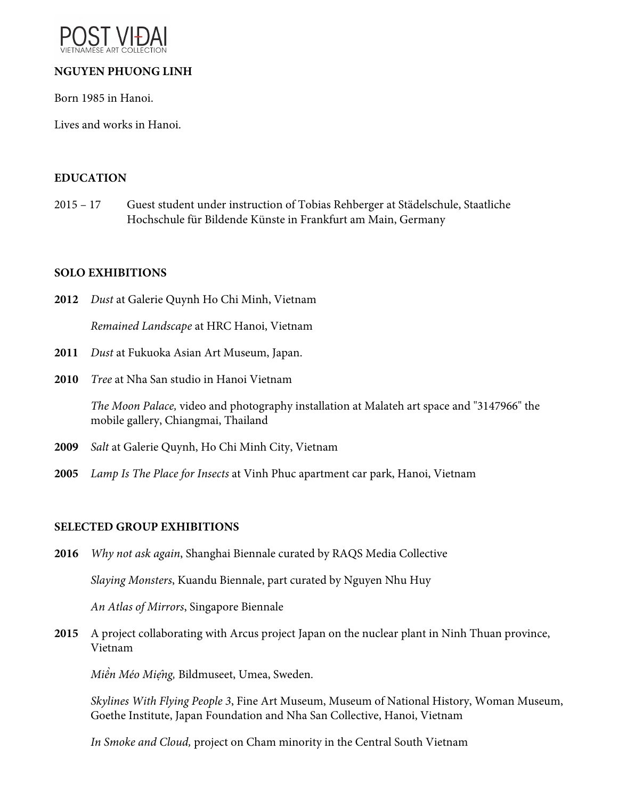

# **NGUYEN PHUONG LINH**

Born 1985 in Hanoi.

Lives and works in Hanoi.

### **EDUCATION**

2015 – 17 Guest student under instruction of Tobias Rehberger at Städelschule, Staatliche Hochschule für Bildende Künste in Frankfurt am Main, Germany

#### **SOLO EXHIBITIONS**

- **2012** *Dust* at Galerie Quynh Ho Chi Minh, Vietnam *Remained Landscape* at HRC Hanoi, Vietnam
- **2011** *Dust* at Fukuoka Asian Art Museum, Japan.
- **2010** *Tree* at Nha San studio in Hanoi Vietnam

*The Moon Palace,* video and photography installation at Malateh art space and "3147966" the mobile gallery, Chiangmai, Thailand

- **2009** *Salt* at Galerie Quynh, Ho Chi Minh City, Vietnam
- **2005** *Lamp Is The Place for Insects* at Vinh Phuc apartment car park, Hanoi, Vietnam

## **SELECTED GROUP EXHIBITIONS**

- **2016** *Why not ask again*, Shanghai Biennale curated by RAQS Media Collective *Slaying Monsters*, Kuandu Biennale, part curated by Nguyen Nhu Huy *An Atlas of Mirrors*, Singapore Biennale
- **2015** A project collaborating with Arcus project Japan on the nuclear plant in Ninh Thuan province, Vietnam

*Miền Méo Mi*ẹ*̂ng,* Bildmuseet, Umea, Sweden.

*Skylines With Flying People 3*, Fine Art Museum, Museum of National History, Woman Museum, Goethe Institute, Japan Foundation and Nha San Collective, Hanoi, Vietnam

*In Smoke and Cloud,* project on Cham minority in the Central South Vietnam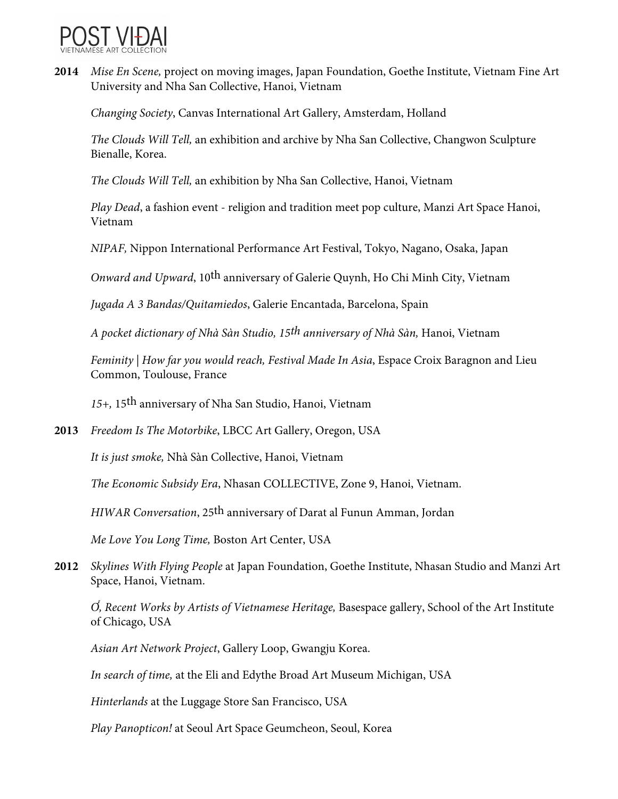

**2014** *Mise En Scene,* project on moving images, Japan Foundation, Goethe Institute, Vietnam Fine Art University and Nha San Collective, Hanoi, Vietnam

*Changing Society*, Canvas International Art Gallery, Amsterdam, Holland

*The Clouds Will Tell,* an exhibition and archive by Nha San Collective, Changwon Sculpture Bienalle, Korea.

*The Clouds Will Tell,* an exhibition by Nha San Collective, Hanoi, Vietnam

*Play Dead*, a fashion event - religion and tradition meet pop culture, Manzi Art Space Hanoi, Vietnam

*NIPAF,* Nippon International Performance Art Festival, Tokyo, Nagano, Osaka, Japan

*Onward and Upward*, 10th anniversary of Galerie Quynh, Ho Chi Minh City, Vietnam

*Jugada A 3 Bandas/Quitamiedos*, Galerie Encantada, Barcelona, Spain

*A pocket dictionary of Nhà Sàn Studio, 15th anniversary of Nhà Sàn,* Hanoi, Vietnam

*Feminity | How far you would reach, Festival Made In Asia*, Espace Croix Baragnon and Lieu Common, Toulouse, France

*15+,* 15th anniversary of Nha San Studio, Hanoi, Vietnam

**2013** *Freedom Is The Motorbike*, LBCC Art Gallery, Oregon, USA

*It is just smoke,* Nhà Sàn Collective, Hanoi, Vietnam

*The Economic Subsidy Era*, Nhasan COLLECTIVE, Zone 9, Hanoi, Vietnam.

*HIWAR Conversation*, 25th anniversary of Darat al Funun Amman, Jordan

*Me Love You Long Time,* Boston Art Center, USA

**2012** *Skylines With Flying People* at Japan Foundation, Goethe Institute, Nhasan Studio and Manzi Art Space, Hanoi, Vietnam.

Ơ*̉, Recent Works by Artists of Vietnamese Heritage,* Basespace gallery, School of the Art Institute of Chicago, USA

*Asian Art Network Project*, Gallery Loop, Gwangju Korea.

*In search of time,* at the Eli and Edythe Broad Art Museum Michigan, USA

*Hinterlands* at the Luggage Store San Francisco, USA

*Play Panopticon!* at Seoul Art Space Geumcheon, Seoul, Korea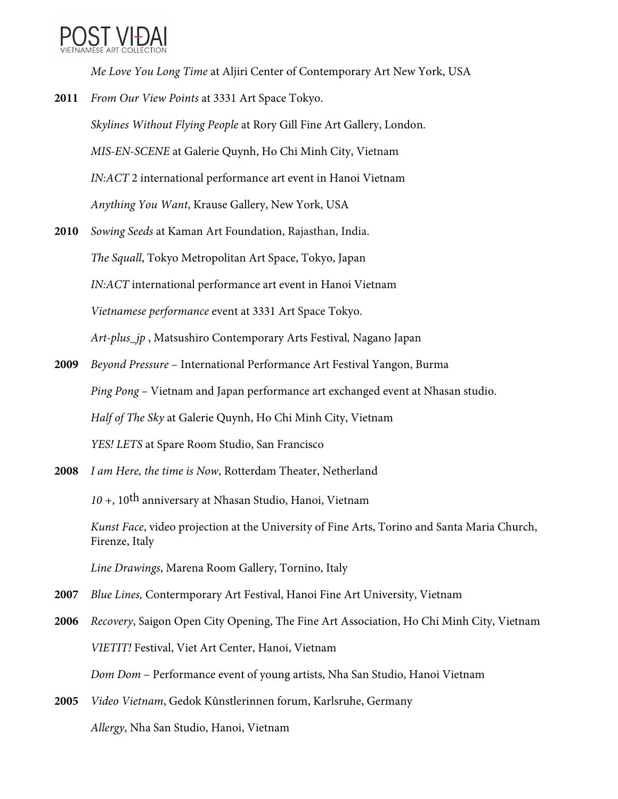

*Me Love You Long Time* at Aljiri Center of Contemporary Art New York, USA

- **2011** *From Our View Points* at 3331 Art Space Tokyo. *Skylines Without Flying People* at Rory Gill Fine Art Gallery, London. *MIS-EN-SCENE* at Galerie Quynh, Ho Chi Minh City, Vietnam *IN:ACT* 2 international performance art event in Hanoi Vietnam *Anything You Want*, Krause Gallery, New York, USA
- **2010** *Sowing Seeds* at Kaman Art Foundation, Rajasthan, India. *The Squall*, Tokyo Metropolitan Art Space, Tokyo, Japan *IN:ACT* international performance art event in Hanoi Vietnam *Vietnamese performance* event at 3331 Art Space Tokyo. *Art-plus\_jp* , Matsushiro Contemporary Arts Festival*,* Nagano Japan
- **2009** *Beyond Pressure*  International Performance Art Festival Yangon, Burma *Ping Pong* – Vietnam and Japan performance art exchanged event at Nhasan studio. *Half of The Sky* at Galerie Quynh, Ho Chi Minh City, Vietnam *YES! LETS* at Spare Room Studio, San Francisco
- **2008** *I am Here, the time is Now*, Rotterdam Theater, Netherland

*10 +*, 10th anniversary at Nhasan Studio, Hanoi, Vietnam

*Kunst Face*, video projection at the University of Fine Arts, Torino and Santa Maria Church, Firenze, Italy

*Line Drawings*, Marena Room Gallery, Tornino, Italy

- **2007** *Blue Lines,* Contermporary Art Festival, Hanoi Fine Art University, Vietnam
- **2006** *Recovery*, Saigon Open City Opening, The Fine Art Association, Ho Chi Minh City, Vietnam *VIETIT!* Festival, Viet Art Center, Hanoi, Vietnam *Dom Dom* – Performance event of young artists, Nha San Studio, Hanoi Vietnam
- **2005** *Video Vietnam*, Gedok Kûnstlerinnen forum, Karlsruhe, Germany *Allergy*, Nha San Studio, Hanoi, Vietnam